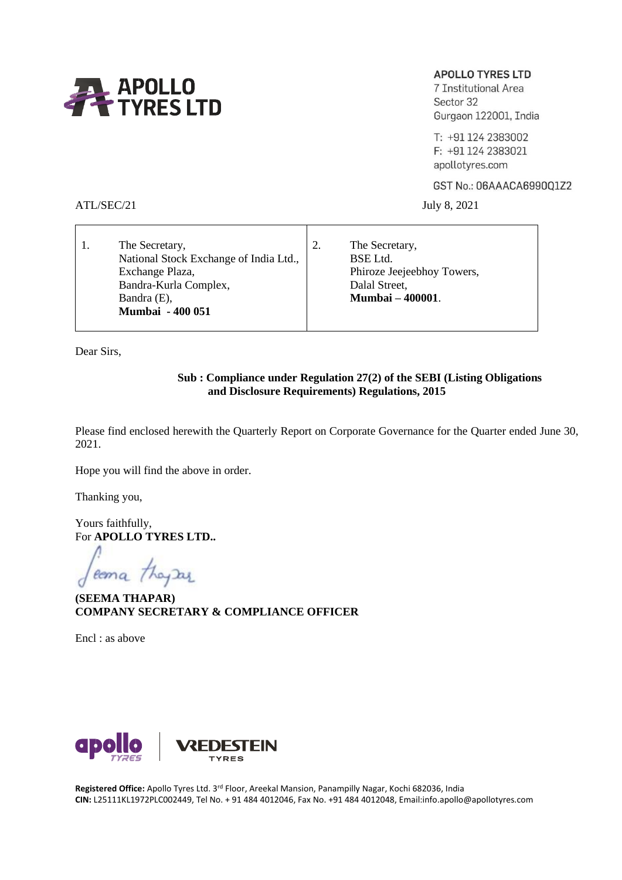

# **APOLLO TYRES LTD**

7 Institutional Area Sector 32 Gurgaon 122001, India

T: +91 124 2383002 F: +91 124 2383021 apollotyres.com

GST No.: 06AAACA6990Q1Z2

ATL/SEC/21 July 8, 2021

| The Secretary,                         | The Secretary,             |
|----------------------------------------|----------------------------|
| National Stock Exchange of India Ltd., | BSE Ltd.                   |
| Exchange Plaza,                        | Phiroze Jeejeebhoy Towers, |
| Bandra-Kurla Complex,                  | Dalal Street,              |
| Bandra (E),                            | <b>Mumbai - 400001.</b>    |
| <b>Mumbai - 400 051</b>                |                            |
|                                        |                            |

Dear Sirs,

#### **Sub : Compliance under Regulation 27(2) of the SEBI (Listing Obligations and Disclosure Requirements) Regulations, 2015**

Please find enclosed herewith the Quarterly Report on Corporate Governance for the Quarter ended June 30, 2021.

Hope you will find the above in order.

Thanking you,

Yours faithfully, For **APOLLO TYRES LTD..**

coma they are

**(SEEMA THAPAR) COMPANY SECRETARY & COMPLIANCE OFFICER**

Encl : as above



**Registered Office:** Apollo Tyres Ltd. 3rd Floor, Areekal Mansion, Panampilly Nagar, Kochi 682036, India **CIN:** L25111KL1972PLC002449, Tel No. + 91 484 4012046, Fax No. +91 484 4012048, Email:info.apollo@apollotyres.com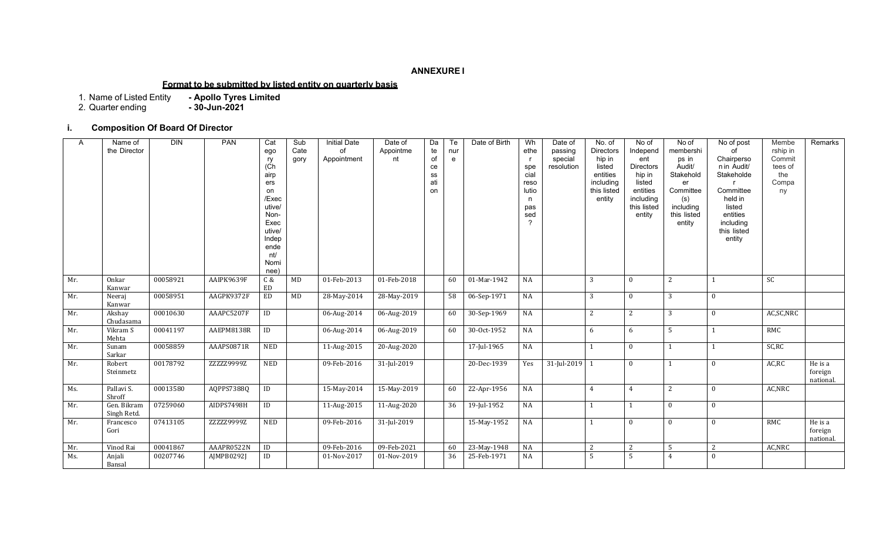#### **ANNEXURE I**

#### **Format to be submitted by listed entity on quarterly basis**

1. Name of Listed Entity **- Apollo Tyres Limited**

2. Quarter ending **- 30-Jun-2021**

## **i. Composition Of Board Of Director**

| $\overline{A}$ | Name of<br>the Director    | <b>DIN</b> | PAN        | Cat<br>ego<br>ry<br>(C <sup>h</sup> )<br>airp<br>ers<br>on<br>/Exec<br>utive/<br>Non-<br>Exec<br>utive/<br>Indep<br>ende<br>nt/<br>Nomi<br>nee) | Sub<br>Cate<br>gory | <b>Initial Date</b><br>of<br>Appointment | Date of<br>Appointme<br>nt | Da<br>te<br>of<br>ce<br>SS<br>ati<br>on | Te<br>nur<br>$\mathsf{e}$ | Date of Birth | Wh<br>ethe<br>spe<br>cial<br>reso<br>lutio<br>n<br>pas<br>sed<br>$\mathcal{P}$ | Date of<br>passing<br>special<br>resolution | No. of<br><b>Directors</b><br>hip in<br>listed<br>entities<br>including<br>this listed<br>entity | No of<br>Independ<br>ent<br><b>Directors</b><br>hip in<br>listed<br>entities<br>including<br>this listed<br>entity | No of<br>membershi<br>ps in<br>Audit/<br>Stakehold<br>er<br>Committee<br>(s)<br>including<br>this listed<br>entity | No of post<br>Ωf<br>Chairperso<br>n in Audit/<br>Stakeholde<br>Committee<br>held in<br>listed<br>entities<br>including<br>this listed<br>entity | Membe<br>rship in<br>Commit<br>tees of<br>the<br>Compa<br>ny | Remarks                         |
|----------------|----------------------------|------------|------------|-------------------------------------------------------------------------------------------------------------------------------------------------|---------------------|------------------------------------------|----------------------------|-----------------------------------------|---------------------------|---------------|--------------------------------------------------------------------------------|---------------------------------------------|--------------------------------------------------------------------------------------------------|--------------------------------------------------------------------------------------------------------------------|--------------------------------------------------------------------------------------------------------------------|-------------------------------------------------------------------------------------------------------------------------------------------------|--------------------------------------------------------------|---------------------------------|
| Mr.            | Onkar<br>Kanwar            | 00058921   | AAIPK9639F | C &<br>ED                                                                                                                                       | MD                  | 01-Feb-2013                              | 01-Feb-2018                |                                         | 60                        | 01-Mar-1942   | NA                                                                             |                                             | 3                                                                                                | $\mathbf{0}$                                                                                                       | 2                                                                                                                  |                                                                                                                                                 | SC                                                           |                                 |
| Mr.            | Neeraj<br>Kanwar           | 00058951   | AAGPK9372F | ED                                                                                                                                              | MD                  | 28-May-2014                              | 28-May-2019                |                                         | 58                        | 06-Sep-1971   | NA                                                                             |                                             | 3                                                                                                | $\Omega$                                                                                                           | 3                                                                                                                  | $\mathbf{0}$                                                                                                                                    |                                                              |                                 |
| Mr.            | Akshay<br>Chudasama        | 00010630   | AAAPC5207F | ID                                                                                                                                              |                     | 06-Aug-2014                              | 06-Aug-2019                |                                         | 60                        | 30-Sep-1969   | NA                                                                             |                                             | 2                                                                                                | 2                                                                                                                  | 3                                                                                                                  | $\mathbf{0}$                                                                                                                                    | AC, SC, NRC                                                  |                                 |
| Mr.            | Vikram S<br>Mehta          | 00041197   | AAEPM8138R | ID                                                                                                                                              |                     | 06-Aug-2014                              | 06-Aug-2019                |                                         | 60                        | 30-Oct-1952   | NA                                                                             |                                             | 6                                                                                                | 6                                                                                                                  | 5                                                                                                                  |                                                                                                                                                 | RMC                                                          |                                 |
| Mr.            | Sunam<br>Sarkar            | 00058859   | AAAPS0871R | NED                                                                                                                                             |                     | 11-Aug-2015                              | 20-Aug-2020                |                                         |                           | 17-Jul-1965   | NA                                                                             |                                             |                                                                                                  | $\mathbf{0}$                                                                                                       |                                                                                                                    |                                                                                                                                                 | SC,RC                                                        |                                 |
| Mr.            | Robert<br>Steinmetz        | 00178792   | ZZZZZ9999Z | <b>NED</b>                                                                                                                                      |                     | 09-Feb-2016                              | 31-Jul-2019                |                                         |                           | 20-Dec-1939   | Yes                                                                            | 31-Jul-2019 1                               |                                                                                                  | $\theta$                                                                                                           | $\mathbf{1}$                                                                                                       | $\Omega$                                                                                                                                        | AC,RC                                                        | He is a<br>foreign<br>national. |
| Ms.            | Pallavi S.<br>Shroff       | 00013580   | AQPPS7388Q | ID                                                                                                                                              |                     | 15-May-2014                              | 15-May-2019                |                                         | 60                        | 22-Apr-1956   | NA                                                                             |                                             | $\overline{4}$                                                                                   | $\overline{4}$                                                                                                     | 2                                                                                                                  | $\mathbf{0}$                                                                                                                                    | AC, NRC                                                      |                                 |
| Mr.            | Gen. Bikram<br>Singh Retd. | 07259060   | AIDPS7498H | ID                                                                                                                                              |                     | 11-Aug-2015                              | 11-Aug-2020                |                                         | 36                        | 19-Jul-1952   | NA                                                                             |                                             | $\mathbf{1}$                                                                                     |                                                                                                                    | $\overline{0}$                                                                                                     | $\theta$                                                                                                                                        |                                                              |                                 |
| Mr.            | Francesco<br>Gori          | 07413105   | ZZZZZ9999Z | <b>NED</b>                                                                                                                                      |                     | 09-Feb-2016                              | 31-Jul-2019                |                                         |                           | 15-May-1952   | NA                                                                             |                                             |                                                                                                  | $\mathbf{0}$                                                                                                       | $\mathbf{0}$                                                                                                       | $\theta$                                                                                                                                        | RMC                                                          | He is a<br>foreign<br>national. |
| Mr.            | Vinod Rai                  | 00041867   | AAAPR0522N | ID                                                                                                                                              |                     | 09-Feb-2016                              | 09-Feb-2021                |                                         | 60                        | 23-May-1948   | NA                                                                             |                                             | 2                                                                                                | 2                                                                                                                  | 5                                                                                                                  | 2                                                                                                                                               | AC, NRC                                                      |                                 |
| Ms.            | Anjali<br>Bansal           | 00207746   | AJMPB0292J | ID                                                                                                                                              |                     | 01-Nov-2017                              | 01-Nov-2019                |                                         | 36                        | 25-Feb-1971   | NA                                                                             |                                             | 5                                                                                                | 5                                                                                                                  | $\overline{4}$                                                                                                     | $\theta$                                                                                                                                        |                                                              |                                 |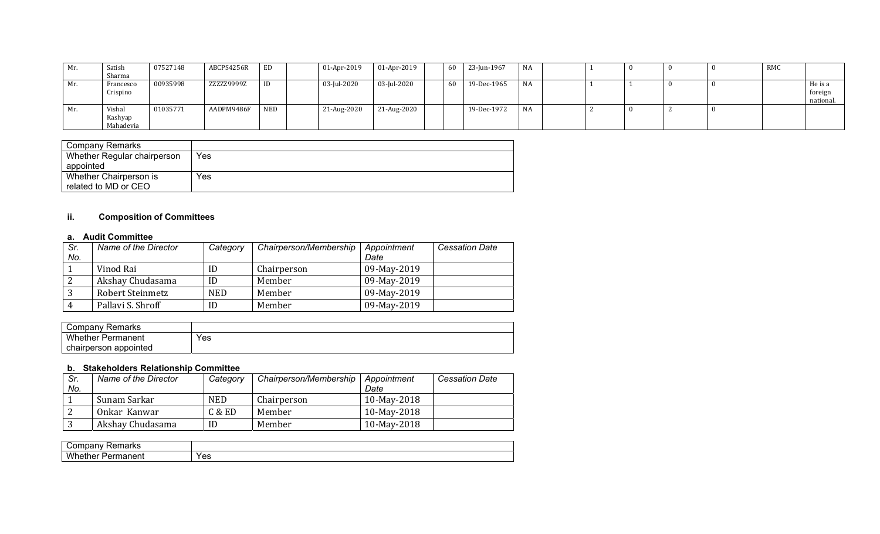| Mr. | Satish                         | 07527148 | ABCPS4256R | ED  | 01-Apr-2019 | 01-Apr-2019 | 60 | 23-Jun-1967 | NA |  |  | <b>RMC</b> |                                 |
|-----|--------------------------------|----------|------------|-----|-------------|-------------|----|-------------|----|--|--|------------|---------------------------------|
|     | Sharma                         |          |            |     |             |             |    |             |    |  |  |            |                                 |
| Mr. | Francesco<br>Crispino          | 00935998 | ZZZZZ9999Z | ID  | 03-Jul-2020 | 03-Jul-2020 | 60 | 19-Dec-1965 | NA |  |  |            | He is a<br>foreign<br>national. |
| Mr. | Vishal<br>Kashyap<br>Mahadevia | 01035771 | AADPM9486F | NED | 21-Aug-2020 | 21-Aug-2020 |    | 19-Dec-1972 | NA |  |  |            |                                 |

| Company Remarks             |     |
|-----------------------------|-----|
| Whether Regular chairperson | Yes |
| appointed                   |     |
| Whether Chairperson is      | Yes |
| related to MD or CEO        |     |

# **ii. Composition of Committees**

#### **a. Audit Committee**

| Sr. | Name of the Director | Category   | Chairperson/Membership | Appointment | <b>Cessation Date</b> |
|-----|----------------------|------------|------------------------|-------------|-----------------------|
| No. |                      |            |                        | Date        |                       |
|     | Vinod Rai            | ID         | Chairperson            | 09-May-2019 |                       |
|     | Akshay Chudasama     | ID         | Member                 | 09-May-2019 |                       |
|     | Robert Steinmetz     | <b>NED</b> | Member                 | 09-May-2019 |                       |
|     | Pallavi S. Shroff    | ID         | Member                 | 09-May-2019 |                       |

| Company Remarks          |     |
|--------------------------|-----|
| <b>Whether Permanent</b> | Yes |
| chairperson appointed    |     |

## **b. Stakeholders Relationship Committee**

| Sr.<br>No. | Name of the Director | Category   | Chairperson/Membership | Appointment<br>Date | <b>Cessation Date</b> |
|------------|----------------------|------------|------------------------|---------------------|-----------------------|
|            | Sunam Sarkar         | <b>NED</b> | Chairperson            | 10-May-2018         |                       |
|            | Onkar Kanwar         | C & E D    | Member                 | 10-May-2018         |                       |
|            | Akshay Chudasama     | ID         | Member                 | 10-May-2018         |                       |

| .<br>.<br>ור<br>.<br>᠁<br>an Nu ⊺                    |                          |
|------------------------------------------------------|--------------------------|
| <b>ALL</b><br>w<br>__<br>----<br>ne<br>ופר<br>.<br>. | $V \cap U$<br>--<br>. სა |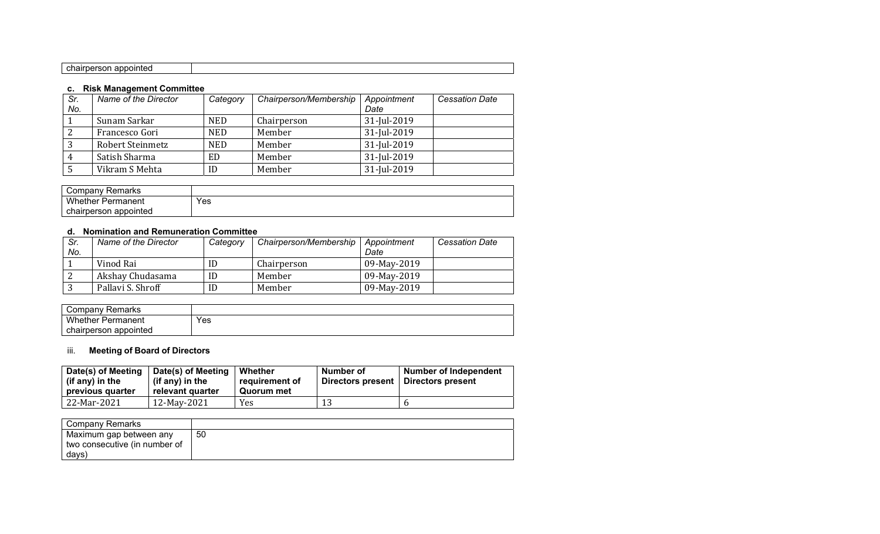## **c. Risk Management Committee**

|     | <b>U.</b> NOR MANAGURUM OUNDINGS |            |                        |             |                       |
|-----|----------------------------------|------------|------------------------|-------------|-----------------------|
| Sr. | Name of the Director             | Category   | Chairperson/Membership | Appointment | <b>Cessation Date</b> |
| No. |                                  |            |                        | Date        |                       |
|     | Sunam Sarkar                     | <b>NED</b> | Chairperson            | 31-Jul-2019 |                       |
|     | Francesco Gori                   | <b>NED</b> | Member                 | 31-Jul-2019 |                       |
|     | <b>Robert Steinmetz</b>          | <b>NED</b> | Member                 | 31-Jul-2019 |                       |
|     | Satish Sharma                    | ED         | Member                 | 31-Jul-2019 |                       |
|     | Vikram S Mehta                   | ID         | Member                 | 31-Jul-2019 |                       |

| <b>Remarks</b><br>∴ompany ∪ |     |
|-----------------------------|-----|
| Whether F<br>Permanent      | Yes |
| chairperson appointed       |     |

#### **d. Nomination and Remuneration Committee**

| Sr.<br>No. | Name of the Director | Category | Chairperson/Membership | Appointment<br>Date | <b>Cessation Date</b> |
|------------|----------------------|----------|------------------------|---------------------|-----------------------|
|            | Vinod Rai            | ID       | Chairperson            | 09-May-2019         |                       |
| -2         | Akshay Chudasama     | ID       | Member                 | 09-May-2019         |                       |
|            | Pallavi S. Shroff    | ID       | Member                 | 09-May-2019         |                       |

| Compan∨ Remarks          |     |
|--------------------------|-----|
| <b>Whether Permanent</b> | Yes |
| chairperson appointed    |     |

# iii. **Meeting of Board of Directors**

| Date(s) of Meeting<br>(if any) in the<br>previous quarter | Date(s) of Meeting<br>(if any) in the<br>relevant quarter | Whether<br>requirement of<br>Quorum met | Number of<br>Directors present | <b>Number of Independent</b><br>Directors present |
|-----------------------------------------------------------|-----------------------------------------------------------|-----------------------------------------|--------------------------------|---------------------------------------------------|
| 22-Mar-2021                                               | 12-May-2021                                               | Yes                                     | 13                             |                                                   |

| <b>Company Remarks</b>        |    |
|-------------------------------|----|
| Maximum gap between any       | 50 |
| two consecutive (in number of |    |
| days)                         |    |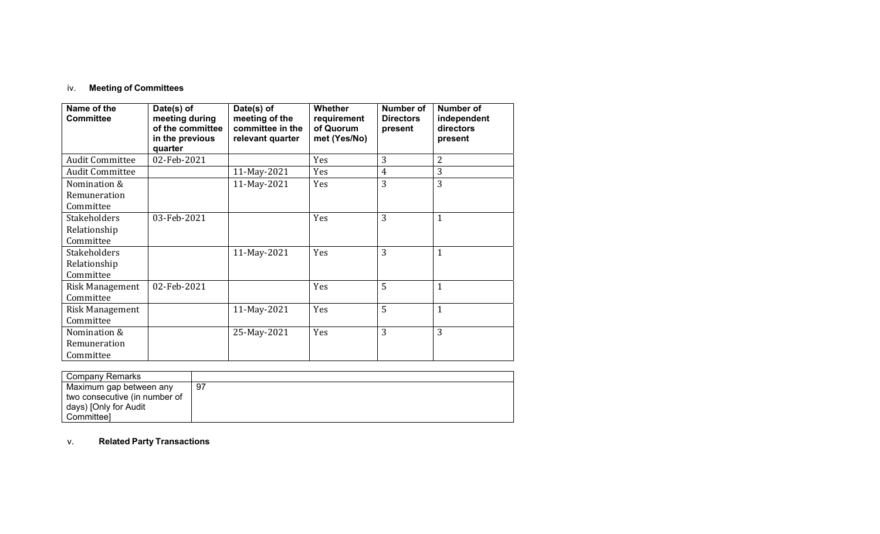## iv. **Meeting of Committees**

| Name of the<br><b>Committee</b>                  | Date(s) of<br>meeting during<br>of the committee<br>in the previous<br>quarter | Date(s) of<br>meeting of the<br>committee in the<br>relevant quarter | <b>Whether</b><br>requirement<br>of Quorum<br>met (Yes/No) | Number of<br><b>Directors</b><br>present | Number of<br>independent<br>directors<br>present |
|--------------------------------------------------|--------------------------------------------------------------------------------|----------------------------------------------------------------------|------------------------------------------------------------|------------------------------------------|--------------------------------------------------|
| <b>Audit Committee</b>                           | 02-Feb-2021                                                                    |                                                                      | Yes                                                        | 3                                        | 2                                                |
| <b>Audit Committee</b>                           |                                                                                | 11-May-2021                                                          | Yes                                                        | 4                                        | 3                                                |
| Nomination &<br>Remuneration<br>Committee        |                                                                                | 11-May-2021                                                          | Yes                                                        | 3                                        | 3                                                |
| <b>Stakeholders</b><br>Relationship<br>Committee | 03-Feb-2021                                                                    |                                                                      | Yes                                                        | 3                                        | $\mathbf{1}$                                     |
| <b>Stakeholders</b><br>Relationship<br>Committee |                                                                                | 11-May-2021                                                          | Yes                                                        | 3                                        | $\mathbf{1}$                                     |
| <b>Risk Management</b><br>Committee              | 02-Feb-2021                                                                    |                                                                      | Yes                                                        | 5                                        | $\mathbf{1}$                                     |
| Risk Management<br>Committee                     |                                                                                | 11-May-2021                                                          | Yes                                                        | 5                                        | $\mathbf{1}$                                     |
| Nomination &<br>Remuneration<br>Committee        |                                                                                | 25-May-2021                                                          | Yes                                                        | 3                                        | 3                                                |

| Company Remarks               |    |
|-------------------------------|----|
| Maximum gap between any       | 97 |
| two consecutive (in number of |    |
| days) [Only for Audit         |    |
| <b>Committeel</b>             |    |

#### v.**Related Party Transactions**